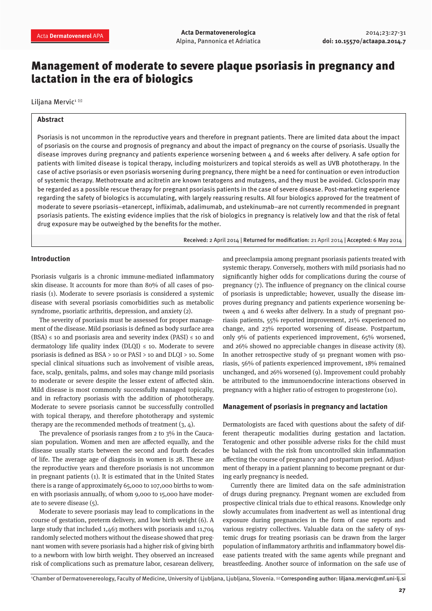# Management of moderate to severe plaque psoriasis in pregnancy and lactation in the era of biologics

Liljana Mervic<sup>1</sup>

### **Abstract**

Psoriasis is not uncommon in the reproductive years and therefore in pregnant patients. There are limited data about the impact of psoriasis on the course and prognosis of pregnancy and about the impact of pregnancy on the course of psoriasis. Usually the disease improves during pregnancy and patients experience worsening between 4 and 6 weeks after delivery. A safe option for patients with limited disease is topical therapy, including moisturizers and topical steroids as well as UVB phototherapy. In the case of active psoriasis or even psoriasis worsening during pregnancy, there might be a need for continuation or even introduction of systemic therapy. Methotrexate and acitretin are known teratogens and mutagens, and they must be avoided. Ciclosporin may be regarded as a possible rescue therapy for pregnant psoriasis patients in the case of severe disease. Post-marketing experience regarding the safety of biologics is accumulating, with largely reassuring results. All four biologics approved for the treatment of moderate to severe psoriasis–etanercept, infliximab, adalimumab, and ustekinumab–are not currently recommended in pregnant psoriasis patients. The existing evidence implies that the risk of biologics in pregnancy is relatively low and that the risk of fetal drug exposure may be outweighed by the benefits for the mother.

Received: 2 April 2014 | Returned for modification: 21 April 2014 | Accepted: 6 May 2014

## **Introduction**

Psoriasis vulgaris is a chronic immune-mediated inflammatory skin disease. It accounts for more than 80% of all cases of psoriasis (1). Moderate to severe psoriasis is considered a systemic disease with several psoriasis comorbidities such as metabolic syndrome, psoriatic arthritis, depression, and anxiety (2).

The severity of psoriasis must be assessed for proper management of the disease. Mild psoriasis is defined as body surface area  $(BSA) \leq 10$  and psoriasis area and severity index  $(PASI) \leq 10$  and dermatology life quality index (DLOI)  $\leq$  10. Moderate to severe psoriasis is defined as BSA > 10 or PASI > 10 and DLQI > 10. Some special clinical situations such as involvement of visible areas, face, scalp, genitals, palms, and soles may change mild psoriasis to moderate or severe despite the lesser extent of affected skin. Mild disease is most commonly successfully managed topically, and in refractory psoriasis with the addition of phototherapy. Moderate to severe psoriasis cannot be successfully controlled with topical therapy, and therefore phototherapy and systemic therapy are the recommended methods of treatment (3, 4).

The prevalence of psoriasis ranges from 2 to 3% in the Caucasian population. Women and men are affected equally, and the disease usually starts between the second and fourth decades of life. The average age of diagnosis in women is 28. These are the reproductive years and therefore psoriasis is not uncommon in pregnant patients (1). It is estimated that in the United States there is a range of approximately 65,000 to 107,000 births to women with psoriasis annually, of whom 9,000 to 15,000 have moderate to severe disease (5).

Moderate to severe psoriasis may lead to complications in the course of gestation, preterm delivery, and low birth weight (6). A large study that included 1,463 mothers with psoriasis and 11,704 randomly selected mothers without the disease showed that pregnant women with severe psoriasis had a higher risk of giving birth to a newborn with low birth weight. They observed an increased risk of complications such as premature labor, cesarean delivery,

and preeclampsia among pregnant psoriasis patients treated with systemic therapy. Conversely, mothers with mild psoriasis had no significantly higher odds for complications during the course of pregnancy (7). The influence of pregnancy on the clinical course of psoriasis is unpredictable; however, usually the disease improves during pregnancy and patients experience worsening between 4 and 6 weeks after delivery. In a study of pregnant psoriasis patients, 55% reported improvement, 21% experienced no change, and 23% reported worsening of disease. Postpartum, only 9% of patients experienced improvement, 65% worsened, and 26% showed no appreciable changes in disease activity (8). In another retrospective study of 91 pregnant women with psoriasis, 56% of patients experienced improvement, 18% remained unchanged, and 26% worsened (9). Improvement could probably be attributed to the immunoendocrine interactions observed in pregnancy with a higher ratio of estrogen to progesterone (10).

#### **Management of psoriasis in pregnancy and lactation**

Dermatologists are faced with questions about the safety of different therapeutic modalities during gestation and lactation. Teratogenic and other possible adverse risks for the child must be balanced with the risk from uncontrolled skin inflammation affecting the course of pregnancy and postpartum period. Adjustment of therapy in a patient planning to become pregnant or during early pregnancy is needed.

Currently there are limited data on the safe administration of drugs during pregnancy. Pregnant women are excluded from prospective clinical trials due to ethical reasons. Knowledge only slowly accumulates from inadvertent as well as intentional drug exposure during pregnancies in the form of case reports and various registry collectives. Valuable data on the safety of systemic drugs for treating psoriasis can be drawn from the larger population of inflammatory arthritis and inflammatory bowel disease patients treated with the same agents while pregnant and breastfeeding. Another source of information on the safe use of

1 Chamber of Dermatovenereology, Faculty of Medicine, University of Ljubljana, Ljubljana, Slovenia. ✉Corresponding author: liljana.mervic@mf.uni-lj.si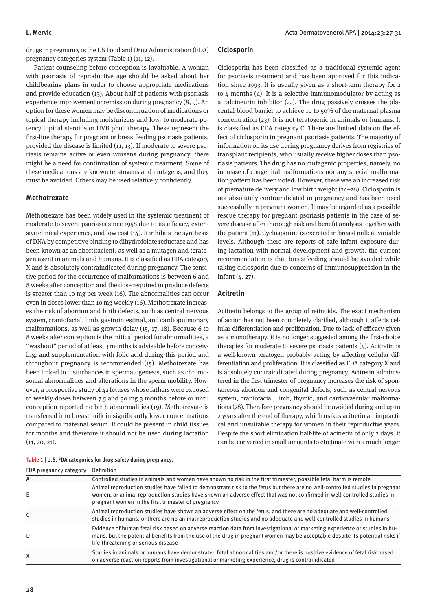drugs in pregnancy is the US Food and Drug Administration (FDA) pregnancy categories system (Table 1) (11, 12).

Patient counseling before conception is invaluable. A woman with psoriasis of reproductive age should be asked about her childbearing plans in order to choose appropriate medications and provide education (13). About half of patients with psoriasis experience improvement or remission during pregnancy (8, 9). An option for these women may be discontinuation of medications or topical therapy including moisturizers and low- to moderate-potency topical steroids or UVB phototherapy. These represent the first-line therapy for pregnant or breastfeeding psoriasis patients, provided the disease is limited (11, 13). If moderate to severe psoriasis remains active or even worsens during pregnancy, there might be a need for continuation of systemic treatment. Some of these medications are known teratogens and mutagens, and they must be avoided. Others may be used relatively confidently.

## **Methotrexate**

Methotrexate has been widely used in the systemic treatment of moderate to severe psoriasis since 1958 due to its efficacy, extensive clinical experience, and low cost (14). It inhibits the synthesis of DNA by competitive binding to dihydrofolate reductase and has been known as an abortifacient, as well as a mutagen and teratogen agent in animals and humans. It is classified as FDA category X and is absolutely contraindicated during pregnancy. The sensitive period for the occurrence of malformations is between 6 and 8 weeks after conception and the dose required to produce defects is greater than 10 mg per week (16). The abnormalities can occur even in doses lower than 10 mg weekly (16). Methotrexate increases the risk of abortion and birth defects, such as central nervous system, craniofacial, limb, gastrointestinal, and cardiopulmonary malformations, as well as growth delay (15, 17, 18). Because 6 to 8 weeks after conception is the critical period for abnormalities, a "washout" period of at least 3 months is advisable before conceiving, and supplementation with folic acid during this period and throughout pregnancy is recommended (15). Methotrexate has been linked to disturbances in spermatogenesis, such as chromosomal abnormalities and alterations in the sperm mobility. However, a prospective study of 42 fetuses whose fathers were exposed to weekly doses between 7.5 and 30 mg 3 months before or until conception reported no birth abnormalities (19). Methotrexate is transferred into breast milk in significantly lower concentrations compared to maternal serum. It could be present in child tissues for months and therefore it should not be used during lactation (11, 20, 21).

#### **Ciclosporin**

Ciclosporin has been classified as a traditional systemic agent for psoriasis treatment and has been approved for this indication since 1993. It is usually given as a short-term therapy for 2 to  $4$  months  $(4)$ . It is a selective immunomodulator by acting as a calcineurin inhibitor (22). The drug passively crosses the placental blood barrier to achieve 10 to 50% of the maternal plasma concentration (23). It is not teratogenic in animals or humans. It is classified as FDA category C. There are limited data on the effect of ciclosporin in pregnant psoriasis patients. The majority of information on its use during pregnancy derives from registries of transplant recipients, who usually receive higher doses than psoriasis patients. The drug has no mutagenic properties; namely, no increase of congenital malformations nor any special malformation pattern has been noted. However, there was an increased risk of premature delivery and low birth weight (24–26). Ciclosporin is not absolutely contraindicated in pregnancy and has been used successfully in pregnant women. It may be regarded as a possible rescue therapy for pregnant psoriasis patients in the case of severe disease after thorough risk and benefit analysis together with the patient (11). Cyclosporine is excreted in breast milk at variable levels. Although there are reports of safe infant exposure during lactation with normal development and growth, the current recommendation is that breastfeeding should be avoided while taking ciclosporin due to concerns of immunosuppression in the infant (4, 27).

## **Acitretin**

Acitretin belongs to the group of retinoids. The exact mechanism of action has not been completely clarified, although it affects cellular differentiation and proliferation. Due to lack of efficacy given as a monotherapy, it is no longer suggested among the first-choice therapies for moderate to severe psoriasis patients  $(4)$ . Acitretin is a well-known teratogen probably acting by affecting cellular differentiation and proliferation. It is classified as FDA category X and is absolutely contraindicated during pregnancy. Acitretin administered in the first trimester of pregnancy increases the risk of spontaneous abortion and congenital defects, such as central nervous system, craniofacial, limb, thymic, and cardiovascular malformations (28). Therefore pregnancy should be avoided during and up to 2 years after the end of therapy, which makes acitretin an impractical and unsuitable therapy for women in their reproductive years. Despite the short elimination half-life of acitretin of only 2 days, it can be converted in small amounts to etretinate with a much longer

|  |  |  | Table $1 \mid U.S.$ FDA categories for drug safety during pregnancy. |
|--|--|--|----------------------------------------------------------------------|
|--|--|--|----------------------------------------------------------------------|

| FDA pregnancy category | Definition                                                                                                                                                                                                                                                                                                     |  |  |
|------------------------|----------------------------------------------------------------------------------------------------------------------------------------------------------------------------------------------------------------------------------------------------------------------------------------------------------------|--|--|
| Α                      | Controlled studies in animals and women have shown no risk in the first trimester, possible fetal harm is remote                                                                                                                                                                                               |  |  |
| B                      | Animal reproduction studies have failed to demonstrate risk to the fetus but there are no well-controlled studies in pregnant<br>women, or animal reproduction studies have shown an adverse effect that was not confirmed in well-controlled studies in<br>pregnant women in the first trimester of pregnancy |  |  |
| C                      | Animal reproduction studies have shown an adverse effect on the fetus, and there are no adequate and well-controlled<br>studies in humans, or there are no animal reproduction studies and no adequate and well-controlled studies in humans                                                                   |  |  |
| D                      | Evidence of human fetal risk based on adverse reaction data from investigational or marketing experience or studies in hu-<br>mans, but the potential benefits from the use of the drug in pregnant women may be acceptable despite its potential risks if<br>life-threatening or serious disease              |  |  |
| X                      | Studies in animals or humans have demonstrated fetal abnormalities and/or there is positive evidence of fetal risk based<br>on adverse reaction reports from investigational or marketing experience, drug is contraindicated                                                                                  |  |  |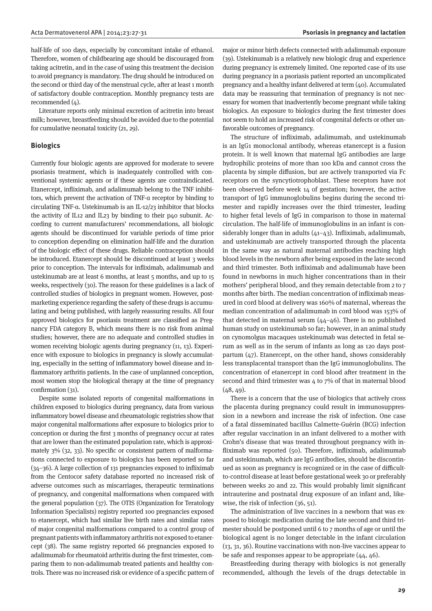half-life of 100 days, especially by concomitant intake of ethanol. Therefore, women of childbearing age should be discouraged from taking acitretin, and in the case of using this treatment the decision to avoid pregnancy is mandatory. The drug should be introduced on the second or third day of the menstrual cycle, after at least 1 month of satisfactory double contraception. Monthly pregnancy tests are recommended (4).

Literature reports only minimal excretion of acitretin into breast milk; however, breastfeeding should be avoided due to the potential for cumulative neonatal toxicity (21, 29).

## **Biologics**

Currently four biologic agents are approved for moderate to severe psoriasis treatment, which is inadequately controlled with conventional systemic agents or if these agents are contraindicated. Etanercept, infliximab, and adalimumab belong to the TNF inhibitors, which prevent the activation of TNF-α receptor by binding to circulating TNF-α. Ustekinumab is an IL-12/23 inhibitor that blocks the activity of IL12 and IL23 by binding to their p40 subunit. According to current manufacturers' recommendations, all biologic agents should be discontinued for variable periods of time prior to conception depending on elimination half-life and the duration of the biologic effect of these drugs. Reliable contraception should be introduced. Etanercept should be discontinued at least 3 weeks prior to conception. The intervals for infliximab, adalimumab and ustekinumab are at least 6 months, at least 5 months, and up to 15 weeks, respectively (30). The reason for these guidelines is a lack of controlled studies of biologics in pregnant women. However, postmarketing experience regarding the safety of these drugs is accumulating and being published, with largely reassuring results. All four approved biologics for psoriasis treatment are classified as Pregnancy FDA category B, which means there is no risk from animal studies; however, there are no adequate and controlled studies in women receiving biologic agents during pregnancy (11, 13). Experience with exposure to biologics in pregnancy is slowly accumulating, especially in the setting of inflammatory bowel disease and inflammatory arthritis patients. In the case of unplanned conception, most women stop the biological therapy at the time of pregnancy confirmation (31).

Despite some isolated reports of congenital malformations in children exposed to biologics during pregnancy, data from various inflammatory bowel disease and rheumatologic registries show that major congenital malformations after exposure to biologics prior to conception or during the first 3 months of pregnancy occur at rates that are lower than the estimated population rate, which is approximately 3% (32, 33). No specific or consistent pattern of malformations connected to exposure to biologics has been reported so far (34–36). A large collection of 131 pregnancies exposed to infliximab from the Centocor safety database reported no increased risk of adverse outcomes such as miscarriages, therapeutic terminations of pregnancy, and congenital malformations when compared with the general population (37). The OTIS (Organization for Teratology Information Specialists) registry reported 100 pregnancies exposed to etanercept, which had similar live birth rates and similar rates of major congenital malformations compared to a control group of pregnant patients with inflammatory arthritis not exposed to etanercept (38). The same registry reported 66 pregnancies exposed to adalimumab for rheumatoid arthritis during the first trimester, comparing them to non-adalimumab treated patients and healthy controls. There was no increased risk or evidence of a specific pattern of major or minor birth defects connected with adalimumab exposure (39). Ustekinumab is a relatively new biologic drug and experience during pregnancy is extremely limited. One reported case of its use during pregnancy in a psoriasis patient reported an uncomplicated pregnancy and a healthy infant delivered at term (40). Accumulated data may be reassuring that termination of pregnancy is not necessary for women that inadvertently become pregnant while taking biologics. An exposure to biologics during the first trimester does not seem to hold an increased risk of congenital defects or other unfavorable outcomes of pregnancy.

The structure of infliximab, adalimumab, and ustekinumab is an IgG1 monoclonal antibody, whereas etanercept is a fusion protein. It is well known that maternal IgG antibodies are large hydrophilic proteins of more than 100 kDa and cannot cross the placenta by simple diffusion, but are actively transported via Fc receptors on the syncytiotrophoblast. These receptors have not been observed before week 14 of gestation; however, the active transport of IgG immunoglobulins begins during the second trimester and rapidly increases over the third trimester, leading to higher fetal levels of IgG in comparison to those in maternal circulation. The half-life of immunoglobulins in an infant is considerably longer than in adults (41–43). Infliximab, adalimumab, and ustekinumab are actively transported through the placenta in the same way as natural maternal antibodies reaching high blood levels in the newborn after being exposed in the late second and third trimester. Both infliximab and adalimumab have been found in newborns in much higher concentrations than in their mothers' peripheral blood, and they remain detectable from 2 to 7 months after birth. The median concentration of infliximab measured in cord blood at delivery was 160% of maternal, whereas the median concentration of adalimumab in cord blood was 153% of that detected in maternal serum  $(44-46)$ . There is no published human study on ustekinumab so far; however, in an animal study on cynomolgus macaques ustekinumab was detected in fetal serum as well as in the serum of infants as long as 120 days postpartum  $(47)$ . Etanercept, on the other hand, shows considerably less transplacental transport than the IgG immunoglobulins. The concentration of etanercept in cord blood after treatment in the second and third trimester was 4 to 7% of that in maternal blood  $(48, 49)$ .

There is a concern that the use of biologics that actively cross the placenta during pregnancy could result in immunosuppression in a newborn and increase the risk of infection. One case of a fatal disseminated bacillus Calmette-Guérin (BCG) infection after regular vaccination in an infant delivered to a mother with Crohn's disease that was treated throughout pregnancy with infliximab was reported (50). Therefore, infliximab, adalimumab and ustekinumab, which are IgG antibodies, should be discontinued as soon as pregnancy is recognized or in the case of difficultto-control disease at least before gestational week 30 or preferably between weeks 20 and 22. This would probably limit significant intrauterine and postnatal drug exposure of an infant and, likewise, the risk of infection (36, 51).

The administration of live vaccines in a newborn that was exposed to biologic medication during the late second and third trimester should be postponed until 6 to 7 months of age or until the biological agent is no longer detectable in the infant circulation (13, 31, 36). Routine vaccinations with non-live vaccines appear to be safe and responses appear to be appropriate (44, 46).

Breastfeeding during therapy with biologics is not generally recommended, although the levels of the drugs detectable in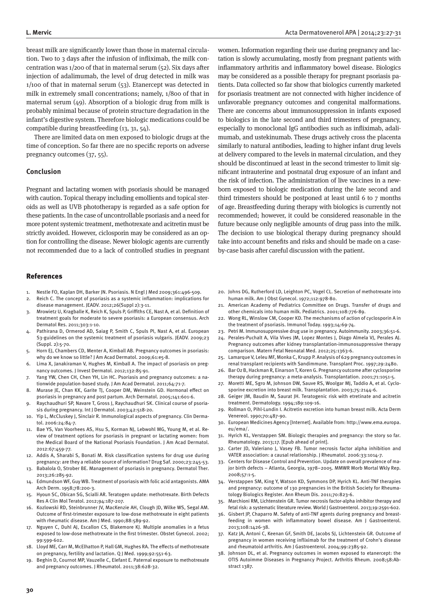breast milk are significantly lower than those in maternal circulation. Two to 3 days after the infusion of infliximab, the milk concentration was 1/200 of that in maternal serum (52). Six days after injection of adalimumab, the level of drug detected in milk was 1/100 of that in maternal serum (53). Etanercept was detected in milk in extremely small concentrations; namely, 1/800 of that in maternal serum (49). Absorption of a biologic drug from milk is probably minimal because of protein structure degradation in the infant's digestive system. Therefore biologic medications could be compatible during breastfeeding (13, 31, 54).

There are limited data on men exposed to biologic drugs at the time of conception. So far there are no specific reports on adverse pregnancy outcomes (37, 55).

## **Conclusion**

Pregnant and lactating women with psoriasis should be managed with caution. Topical therapy including emollients and topical steroids as well as UVB phototherapy is regarded as a safe option for these patients. In the case of uncontrollable psoriasis and a need for more potent systemic treatment, methotrexate and acitretin must be strictly avoided. However, ciclosporin may be considered as an option for controlling the disease. Newer biologic agents are currently not recommended due to a lack of controlled studies in pregnant

#### References

- 1. Nestle FO, Kaplan DH, Barker JN. Psoriasis. N Engl J Med 2009;361:496-509.
- 2. Reich C. The concept of psoriasis as a systemic inflammation: implications for disease management. JEADV. 2012;26(Suppl 2):3-11.
- 3. Mrowietz U, Kragballe K, Reich K, Spuls P, Griffiths CE, Nast A, et al. Definition of treatment goals for moderate to severe psoriasis: a European consensus. Arch Dermatol Res. 2011;303:1-10.
- Pathirana D, Ormerod AD, Saiag P, Smith C, Spuls PI, Nast A, et al. European S3-guidelines on the systemic treatment of psoriasis vulgaris. JEADV. 2009;23 (Suppl. 2):5-70.
- 5. Horn EJ, Chambers CD, Menter A, Kimball AB. Pregnancy outcomes in psoriasis: why do we know so little? J Am Acad Dermatol. 2009;61:e5-8.
- 6. Lima X, Janakiraman V, Hughes M, Kimball A. The impact of psoriasis on pregnancy outcomes. J Invest Dermatol. 2012;132:85-91.
- 7. Yang YW, Chen CH, Chen YH, Lin HC. Psoriasis and pregnancy outcomes: a nationwide population-based study. J Am Acad Dermatol. 2011;64:71-7.
- 8. Murase JE, Chan KK, Garite TJ, Cooper DM, Weinstein GD. Hormonal effect on psoriasis in pregnancy and post partum. Arch Dermatol. 2005;141:601-6.
- 9. Raychaudhuri SP, Navare T, Gross J, Raychaudhuri SK. Clinical course of psoriasis during pregnancy. Int J Dermatol. 2003;42:518-20.
- 10. Yip L, McCluskey J, Sinclair R. Immunological aspects of pregnancy. Clin Dermatol. 2006:24:84-7.
- Bae YS, Van Voorhees AS, Hsu S, Korman NJ, Lebwohl MG, Young M, et al. Review of treatment options for psoriasis in pregnant or lactating women: from the Medical Board of the National Psoriasis Foundation. J Am Acad Dermatol. 2012:67:459-77.
- 12. Addis A, Sharabi S, Bonati M. Risk classification systems for drug use during pregnancy: are they a reliable source of information? Drug Saf. 2000;23:245-53.
- 13. Babalola O, Strober BE. Management of psoriasis in pregnancy. Dermatol Ther. 2013;26:285-92.
- 14. Edmundson WF, Guy WB. Treatment of psoriasis with folic acid antagonists. AMA Arch Derm. 1958;78:200-3.
- 15. Hyoun SC, Obican SG, Scialli AR. Teratogen update: methotrexate. Birth Defects Res A Clin Mol Teratol. 2012;94:187-207.
- 16. Kozlowski RD, Steinbrunner JV, MacKenzie AH, Clough JD, Wilke WS, Segal AM. Outcome of first-trimester exposure to low-dose methotrexate in eight patients with rheumatic disease. Am J Med. 1990;88:589-92.
- 17. Nguyen C, Duhl AJ, Escallon CS, Blakemore KJ. Multiple anomalies in a fetus exposed to low-dose methotrexate in the first trimester. Obstet Gynecol. 2002; 99:599-602.
- 18. Lloyd ME, Carr M, McElhatton P, Hall GM, Hughes RA. The effects of methotrexate on pregnancy, fertility and lactation. Q J Med. 1999;92:551-63.
- 19. Beghin D, Cournot MP, Vauzelle C, Elefant E. Paternal exposure to methotrexate and pregnancy outcomes. J Rheumatol. 2011;38:628-32.

women. Information regarding their use during pregnancy and lactation is slowly accumulating, mostly from pregnant patients with inflammatory arthritis and inflammatory bowel disease. Biologics may be considered as a possible therapy for pregnant psoriasis patients. Data collected so far show that biologics currently marketed for psoriasis treatment are not connected with higher incidence of unfavorable pregnancy outcomes and congenital malformations. There are concerns about immunosuppression in infants exposed to biologics in the late second and third trimesters of pregnancy, especially to monoclonal IgG antibodies such as infliximab, adalimumab, and ustekinumab. These drugs actively cross the placenta similarly to natural antibodies, leading to higher infant drug levels at delivery compared to the levels in maternal circulation, and they should be discontinued at least in the second trimester to limit significant intrauterine and postnatal drug exposure of an infant and the risk of infection. The administration of live vaccines in a newborn exposed to biologic medication during the late second and third trimesters should be postponed at least until 6 to 7 months of age. Breastfeeding during therapy with biologics is currently not recommended; however, it could be considered reasonable in the future because only negligible amounts of drug pass into the milk. The decision to use biological therapy during pregnancy should take into account benefits and risks and should be made on a caseby-case basis after careful discussion with the patient.

- 20. Johns DG, Rutherford LD, Leighton PC, Vogel CL. Secretion of methotrexate into human milk. Am J Obst Gynecol. 1972;112:978-80.
- 21. American Academy of Pediatrics Committee on Drugs. Transfer of drugs and other chemicals into human milk. Pediatrics. 2001;108:776-89.
- 22. Wong RL, Winslow CM, Cooper KD. The mechanisms of action of cyclosporin A in the treatment of psoriasis. Immunol Today. 1993;14:69-74.
- 23. Petri M. Immunosuppressive drug use in pregnancy. Autoimmunity. 2003;36:51-6.
- 24. Perales-Puchalt A, Vila Vives JM, Lopez Montes J, Diago Almela VJ, Perales AJ. Pregnancy outcomes after kidney transplantation-immunosuppressive therapy comparison. Matern Fetal Neonatal Med. 2012;25:1363-6.
- 25. Lamarque V, Leleu MF, Monka C, Krupp P. Analysis of 629 pregnancy outcomes in renal transplant recipients with Sandimmune. Transplant Proc. 1997;29:2480.
- 26. Bar Oz B, Hackman R, Einarson T, Koren G. Pregnancy outcome after cyclosporine therapy during pregnancy: a meta-analysis. Transplantation. 2001;71:1051-5.
- 27. Moretti ME, Sgro M, Johnson DW, Sauve RS, Woolgar MJ, Taddio A, et al. Cyclosporine excretion into breast milk. Transplantation. 2003;75:2144-6.
- 28. Geiger JM, Baudin M, Saurat JH. Teratogenic risk with etretinate and acitretin treatment. Dermatology. 1994;189:109-16.
- 29. Rollman O, Pihl-Lundin I. Acitretin excretion into human breast milk. Acta Derm Venereol. 1990;70:487-90.
- 30. European Medicines Agency [Internet]. Available from: http://www.ema.europa. eu/ema/.
- 31. Hyrich KL, Verstappen SM. Biologic therapies and pregnancy: the story so far. Rheumatology. 2013;17. [Epub ahead of print].
- 32. Carter JD, Valeriano J, Vasey FB. Tumor necrosis factor alpha inhibition and VATER association: a causal relationship. J Rheumatol. 2006:33:1014-7.
- 33. Centers for Disease Control and Prevention. Update on overall prevalence of major birth defects – Atlanta, Georgia, 1978–2005. MMWR Morb Mortal Wkly Rep. 2008;57:1-5.
- 34. Verstappen SM, King Y, Watson KD, Symmons DP, Hyrich KL. Anti-TNF therapies and pregnancy: outcome of 130 pregnancies in the British Society for Rheumatology Biologics Register. Ann Rheum Dis. 2011;70:823-6.
- 35. Marchioni RM, Lichtenstein GR. Tumor necrosis factor-alpha inhibitor therapy and fetal risk: a systematic literature review. World J Gastroenterol. 2013;19:2591-602.
- 36. Gisbert JP, Chaparro M. Safety of anti-TNF agents during pregnancy and breastfeeding in women with inflammatory bowel disease. Am J Gastroenterol. 2013;108:1426-38.
- 37. Katz JA, Antoni C, Keenan GF, Smith DE, Jacobs SJ, Lichtenstein GR. Outcome of pregnancy in women receiving infliximab for the treatment of Crohn's disease and rheumatoid arthritis. Am J Gastroenterol. 2004;99:2385-92.
- 38. Johnson DL, et al. Pregnancy outcomes in women exposed to etanercept: the OTIS Autoimme Diseases in Pregnancy Project. Arthritis Rheum. 2008;58:Abstract 1387.